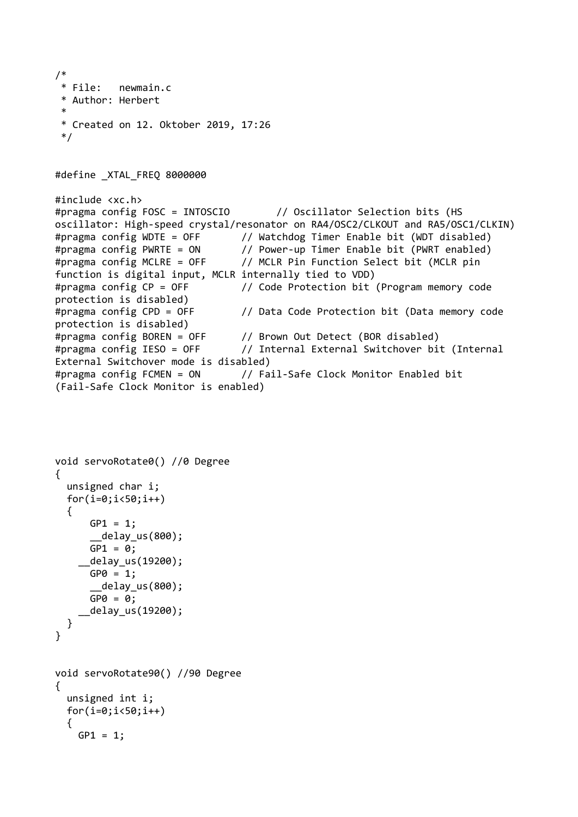```
/*
  * File: newmain.c
  * Author: Herbert
  *
  * Created on 12. Oktober 2019, 17:26
 */
#define _XTAL_FREQ 8000000
#include <xc.h>
#pragma config FOSC = INTOSCIO // Oscillator Selection bits (HS 
oscillator: High-speed crystal/resonator on RA4/OSC2/CLKOUT and RA5/OSC1/CLKIN)
#pragma config WDTE = OFF // Watchdog Timer Enable bit (WDT disabled)
#pragma config PWRTE = ON // Power-up Timer Enable bit (PWRT enabled)
#pragma config MCLRE = OFF // MCLR Pin Function Select bit (MCLR pin 
function is digital input, MCLR internally tied to VDD)
#pragma config CP = OFF // Code Protection bit (Program memory code 
protection is disabled)
#pragma config CPD = OFF // Data Code Protection bit (Data memory code 
protection is disabled)
#pragma config BOREN = OFF // Brown Out Detect (BOR disabled)
#pragma config IESO = OFF // Internal External Switchover bit (Internal 
External Switchover mode is disabled)
#pragma config FCMEN = ON // Fail-Safe Clock Monitor Enabled bit 
(Fail-Safe Clock Monitor is enabled)
```

```
void servoRotate0() //0 Degree
{
   unsigned char i;
  for(i=0; i<50; i++) {
      GPI = 1; __delay_us(800);
      GPI = 0;
     __delay_us(19200); 
      GPO = 1;
        __delay_us(800);
      GPO = O; __delay_us(19200);
   }
}
void servoRotate90() //90 Degree
{
   unsigned int i;
  for(i=0; i<50; i++) {
    GPI = 1;
```